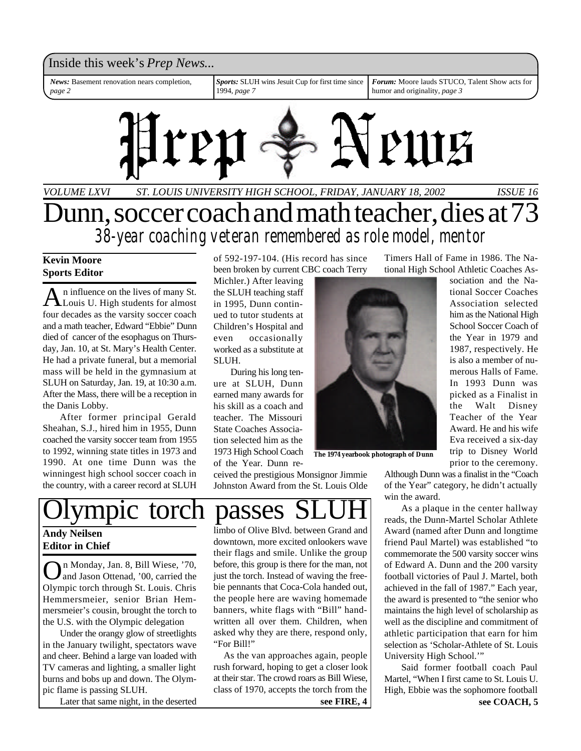#### Inside this week's *Prep News*...

*News:* Basement renovation nears completion, *page 2*

*Sports:* SLUH wins Jesuit Cup for first time since 1994, *page 7*

*Forum:* Moore lauds STUCO, Talent Show acts for humor and originality, *page 3*



### *VOLUME LXVI ISSUE 16 ST. LOUIS UNIVERSITY HIGH SCHOOL, FRIDAY, JANUARY 18, 2002* Dunn, soccer coach and math teacher, dies at 73 *38-year coaching veteran remembered as role model, mentor*

#### **Kevin Moore Sports Editor**

A n influence on the lives of many St.<br>Louis U. High students for almost n influence on the lives of many St. four decades as the varsity soccer coach and a math teacher, Edward "Ebbie" Dunn died of cancer of the esophagus on Thursday, Jan. 10, at St. Mary's Health Center. He had a private funeral, but a memorial mass will be held in the gymnasium at SLUH on Saturday, Jan. 19, at 10:30 a.m. After the Mass, there will be a reception in the Danis Lobby.

After former principal Gerald Sheahan, S.J., hired him in 1955, Dunn coached the varsity soccer team from 1955 to 1992, winning state titles in 1973 and 1990. At one time Dunn was the winningest high school soccer coach in the country, with a career record at SLUH of 592-197-104. (His record has since been broken by current CBC coach Terry

Michler.) After leaving the SLUH teaching staff in 1995, Dunn continued to tutor students at Children's Hospital and even occasionally worked as a substitute at SLUH.

During his long tenure at SLUH, Dunn earned many awards for his skill as a coach and teacher. The Missouri State Coaches Association selected him as the 1973 High School Coach of the Year. Dunn re-

ceived the prestigious Monsignor Jimmie Johnston Award from the St. Louis Olde Timers Hall of Fame in 1986. The National High School Athletic Coaches As-

sociation and the National Soccer Coaches Association selected him as the National High School Soccer Coach of the Year in 1979 and 1987, respectively. He is also a member of numerous Halls of Fame. In 1993 Dunn was picked as a Finalist in the Walt Disney Teacher of the Year Award. He and his wife Eva received a six-day

**The 1974 yearbook photograph of Dunn**

trip to Disney World prior to the ceremony. Although Dunn was a finalist in the "Coach of the Year" category, he didn't actually win the award.

As a plaque in the center hallway reads, the Dunn-Martel Scholar Athlete Award (named after Dunn and longtime friend Paul Martel) was established "to commemorate the 500 varsity soccer wins of Edward A. Dunn and the 200 varsity football victories of Paul J. Martel, both achieved in the fall of 1987." Each year, the award is presented to "the senior who maintains the high level of scholarship as well as the discipline and commitment of athletic participation that earn for him selection as 'Scholar-Athlete of St. Louis University High School.'"

Said former football coach Paul Martel, "When I first came to St. Louis U. High, Ebbie was the sophomore football

## ympic torch passes SI

#### **Andy Neilsen Editor in Chief**

O n Monday, Jan. 8, Bill Wiese, '70, and Jason Ottenad, '00, carried the Olympic torch through St. Louis. Chris Hemmersmeier, senior Brian Hemmersmeier's cousin, brought the torch to the U.S. with the Olympic delegation

Under the orangy glow of streetlights in the January twilight, spectators wave and cheer. Behind a large van loaded with TV cameras and lighting, a smaller light burns and bobs up and down. The Olympic flame is passing SLUH.

Later that same night, in the deserted

limbo of Olive Blvd. between Grand and downtown, more excited onlookers wave their flags and smile. Unlike the group before, this group is there for the man, not just the torch. Instead of waving the freebie pennants that Coca-Cola handed out, the people here are waving homemade banners, white flags with "Bill" handwritten all over them. Children, when asked why they are there, respond only, "For Bill!"

 As the van approaches again, people rush forward, hoping to get a closer look at their star. The crowd roars as Bill Wiese, class of 1970, accepts the torch from the **see FIRE, 4**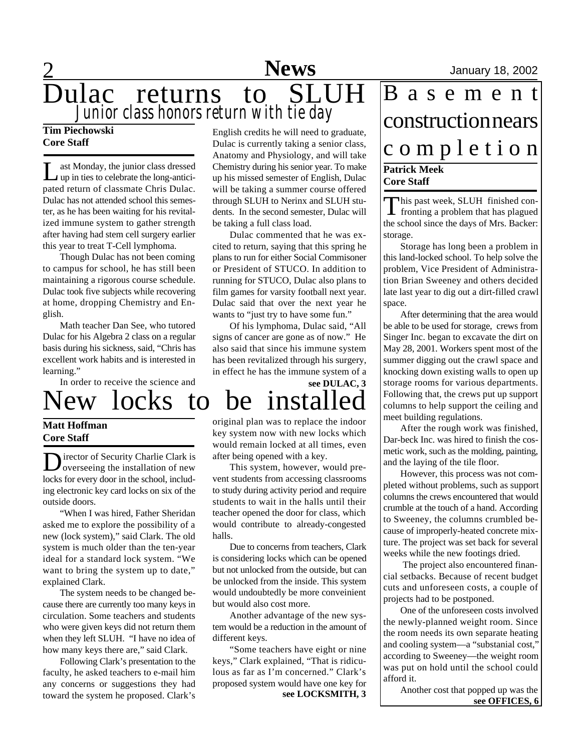### 2 **Sports News** January 18, 2002 Dulac returns to SLUH *Junior class honors return with tie day* **News**

New locks to be installed

#### **Tim Piechowski Core Staff**

Last Monday, the junior class dressed<br>up in ties to celebrate the long-anticiast Monday, the junior class dressed pated return of classmate Chris Dulac. Dulac has not attended school this semester, as he has been waiting for his revitalized immune system to gather strength after having had stem cell surgery earlier this year to treat T-Cell lymphoma.

Though Dulac has not been coming to campus for school, he has still been maintaining a rigorous course schedule. Dulac took five subjects while recovering at home, dropping Chemistry and English.

Math teacher Dan See, who tutored Dulac for his Algebra 2 class on a regular basis during his sickness, said, "Chris has excellent work habits and is interested in learning."

In order to receive the science and

#### **Matt Hoffman Core Staff**

Director of Security Charlie Clark is<br>
overseeing the installation of new overseeing the installation of new locks for every door in the school, including electronic key card locks on six of the outside doors.

"When I was hired, Father Sheridan asked me to explore the possibility of a new (lock system)," said Clark. The old system is much older than the ten-year ideal for a standard lock system. "We want to bring the system up to date," explained Clark.

The system needs to be changed because there are currently too many keys in circulation. Some teachers and students who were given keys did not return them when they left SLUH. "I have no idea of how many keys there are," said Clark.

Following Clark's presentation to the faculty, he asked teachers to e-mail him any concerns or suggestions they had toward the system he proposed. Clark's English credits he will need to graduate, Dulac is currently taking a senior class, Anatomy and Physiology, and will take Chemistry during his senior year. To make up his missed semester of English, Dulac will be taking a summer course offered through SLUH to Nerinx and SLUH students. In the second semester, Dulac will be taking a full class load.

Dulac commented that he was excited to return, saying that this spring he plans to run for either Social Commisoner or President of STUCO. In addition to running for STUCO, Dulac also plans to film games for varsity football next year. Dulac said that over the next year he wants to "just try to have some fun."

Of his lymphoma, Dulac said, "All signs of cancer are gone as of now." He also said that since his immune system has been revitalized through his surgery, in effect he has the immune system of a

**see DULAC, 3**

original plan was to replace the indoor key system now with new locks which would remain locked at all times, even after being opened with a key.

This system, however, would prevent students from accessing classrooms to study during activity period and require students to wait in the halls until their teacher opened the door for class, which would contribute to already-congested halls.

Due to concerns from teachers, Clark is considering locks which can be opened but not unlocked from the outside, but can be unlocked from the inside. This system would undoubtedly be more conveinient but would also cost more.

Another advantage of the new system would be a reduction in the amount of different keys.

"Some teachers have eight or nine keys," Clark explained, "That is ridiculous as far as I'm concerned." Clark's proposed system would have one key for **see LOCKSMITH, 3**

### **Patrick Meek** B a s e m e n t construction nears c o m p l e t i o n

### **Core Staff**

This past week, SLUH finished con-<br>fronting a problem that has plagued his past week, SLUH finished conthe school since the days of Mrs. Backer: storage.

Storage has long been a problem in this land-locked school. To help solve the problem, Vice President of Administration Brian Sweeney and others decided late last year to dig out a dirt-filled crawl space.

After determining that the area would be able to be used for storage, crews from Singer Inc. began to excavate the dirt on May 28, 2001. Workers spent most of the summer digging out the crawl space and knocking down existing walls to open up storage rooms for various departments. Following that, the crews put up support columns to help support the ceiling and meet building regulations.

After the rough work was finished, Dar-beck Inc. was hired to finish the cosmetic work, such as the molding, painting, and the laying of the tile floor.

However, this process was not completed without problems, such as support columns the crews encountered that would crumble at the touch of a hand. According to Sweeney, the columns crumbled because of improperly-heated concrete mixture. The project was set back for several weeks while the new footings dried.

 The project also encountered financial setbacks. Because of recent budget cuts and unforeseen costs, a couple of projects had to be postponed.

One of the unforeseen costs involved the newly-planned weight room. Since the room needs its own separate heating and cooling system—a "substanial cost," according to Sweeney—the weight room was put on hold until the school could afford it.

> Another cost that popped up was the **see OFFICES, 6**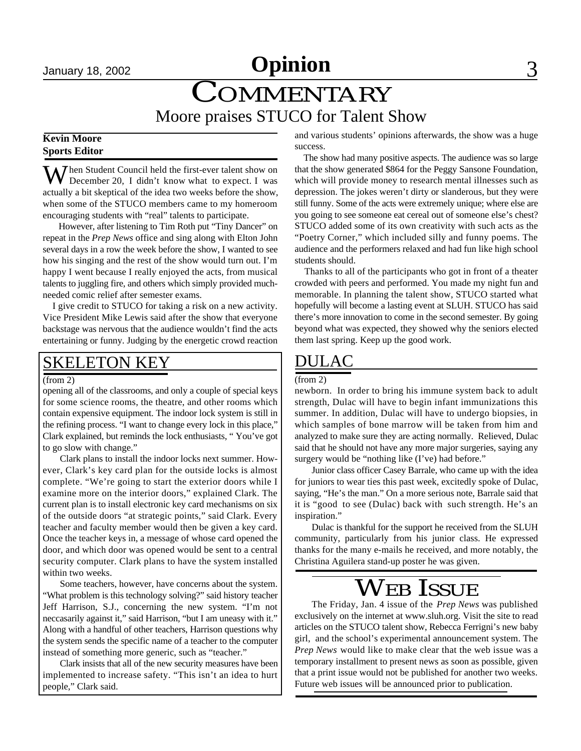## January 18, 2002 **Opinion** 3

# COMMENTARY

### Moore praises STUCO for Talent Show

#### **Kevin Moore Sports Editor**

**Then Student Council held the first-ever talent show on** December 20, I didn't know what to expect. I was actually a bit skeptical of the idea two weeks before the show, when some of the STUCO members came to my homeroom encouraging students with "real" talents to participate.

 However, after listening to Tim Roth put "Tiny Dancer" on repeat in the *Prep News* office and sing along with Elton John several days in a row the week before the show, I wanted to see how his singing and the rest of the show would turn out. I'm happy I went because I really enjoyed the acts, from musical talents to juggling fire, and others which simply provided muchneeded comic relief after semester exams.

 I give credit to STUCO for taking a risk on a new activity. Vice President Mike Lewis said after the show that everyone backstage was nervous that the audience wouldn't find the acts entertaining or funny. Judging by the energetic crowd reaction

### SKELETON KEY

#### (from 2)

opening all of the classrooms, and only a couple of special keys for some science rooms, the theatre, and other rooms which contain expensive equipment. The indoor lock system is still in the refining process. "I want to change every lock in this place," Clark explained, but reminds the lock enthusiasts, " You've got to go slow with change."

Clark plans to install the indoor locks next summer. However, Clark's key card plan for the outside locks is almost complete. "We're going to start the exterior doors while I examine more on the interior doors," explained Clark. The current plan is to install electronic key card mechanisms on six of the outside doors "at strategic points," said Clark. Every teacher and faculty member would then be given a key card. Once the teacher keys in, a message of whose card opened the door, and which door was opened would be sent to a central security computer. Clark plans to have the system installed within two weeks.

Some teachers, however, have concerns about the system. "What problem is this technology solving?" said history teacher Jeff Harrison, S.J., concerning the new system. "I'm not neccasarily against it," said Harrison, "but I am uneasy with it." Along with a handful of other teachers, Harrison questions why the system sends the specific name of a teacher to the computer instead of something more generic, such as "teacher."

Clark insists that all of the new security measures have been implemented to increase safety. "This isn't an idea to hurt people," Clark said.

and various students' opinions afterwards, the show was a huge success.

 The show had many positive aspects. The audience was so large that the show generated \$864 for the Peggy Sansone Foundation, which will provide money to research mental illnesses such as depression. The jokes weren't dirty or slanderous, but they were still funny. Some of the acts were extremely unique; where else are you going to see someone eat cereal out of someone else's chest? STUCO added some of its own creativity with such acts as the "Poetry Corner," which included silly and funny poems. The audience and the performers relaxed and had fun like high school students should.

 Thanks to all of the participants who got in front of a theater crowded with peers and performed. You made my night fun and memorable. In planning the talent show, STUCO started what hopefully will become a lasting event at SLUH. STUCO has said there's more innovation to come in the second semester. By going beyond what was expected, they showed why the seniors elected them last spring. Keep up the good work.

### DULAC

#### (from 2)

newborn. In order to bring his immune system back to adult strength, Dulac will have to begin infant immunizations this summer. In addition, Dulac will have to undergo biopsies, in which samples of bone marrow will be taken from him and analyzed to make sure they are acting normally. Relieved, Dulac said that he should not have any more major surgeries, saying any surgery would be "nothing like (I've) had before."

Junior class officer Casey Barrale, who came up with the idea for juniors to wear ties this past week, excitedly spoke of Dulac, saying, "He's the man." On a more serious note, Barrale said that it is "good to see (Dulac) back with such strength. He's an inspiration."

Dulac is thankful for the support he received from the SLUH community, particularly from his junior class. He expressed thanks for the many e-mails he received, and more notably, the Christina Aguilera stand-up poster he was given.

### WEB ISSUE

The Friday, Jan. 4 issue of the *Prep News* was published exclusively on the internet at www.sluh.org. Visit the site to read articles on the STUCO talent show, Rebecca Ferrigni's new baby girl, and the school's experimental announcement system. The *Prep News* would like to make clear that the web issue was a temporary installment to present news as soon as possible, given that a print issue would not be published for another two weeks. Future web issues will be announced prior to publication.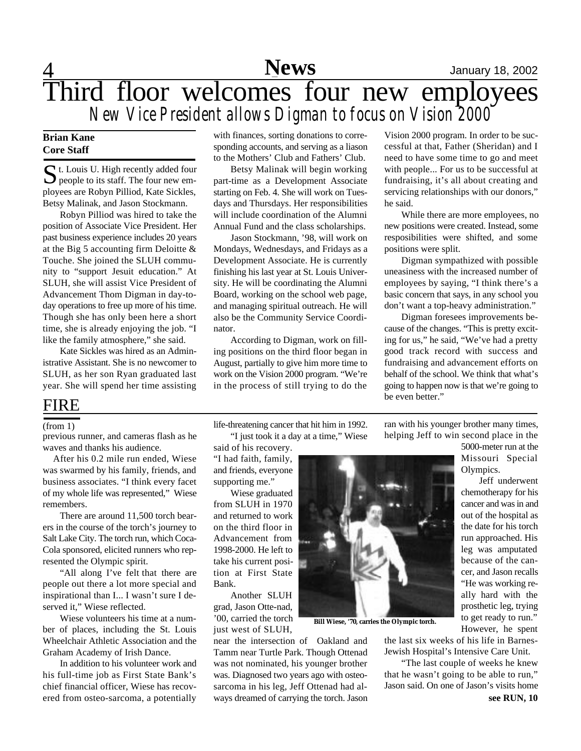### **News**

### 4 **Sports** January 18, 2002 Third floor welcomes four new employees *New Vice President allows Digman to focus on Vision 2000*

#### **Brian Kane Core Staff**

S t. Louis U. High recently added four<br>people to its staff. The four new emt. Louis U. High recently added four ployees are Robyn Pilliod, Kate Sickles, Betsy Malinak, and Jason Stockmann.

Robyn Pilliod was hired to take the position of Associate Vice President. Her past business experience includes 20 years at the Big 5 accounting firm Deloitte  $\&$ Touche. She joined the SLUH community to "support Jesuit education." At SLUH, she will assist Vice President of Advancement Thom Digman in day-today operations to free up more of his time. Though she has only been here a short time, she is already enjoying the job. "I like the family atmosphere," she said.

Kate Sickles was hired as an Administrative Assistant. She is no newcomer to SLUH, as her son Ryan graduated last year. She will spend her time assisting

#### FIRE

#### (from 1)

previous runner, and cameras flash as he waves and thanks his audience.

 After his 0.2 mile run ended, Wiese was swarmed by his family, friends, and business associates. "I think every facet of my whole life was represented," Wiese remembers.

There are around 11,500 torch bearers in the course of the torch's journey to Salt Lake City. The torch run, which Coca-Cola sponsored, elicited runners who represented the Olympic spirit.

"All along I've felt that there are people out there a lot more special and inspirational than I... I wasn't sure I deserved it," Wiese reflected.

Wiese volunteers his time at a number of places, including the St. Louis Wheelchair Athletic Association and the Graham Academy of Irish Dance.

In addition to his volunteer work and his full-time job as First State Bank's chief financial officer, Wiese has recovered from osteo-sarcoma, a potentially

with finances, sorting donations to corresponding accounts, and serving as a liason to the Mothers' Club and Fathers' Club.

Betsy Malinak will begin working part-time as a Development Associate starting on Feb. 4. She will work on Tuesdays and Thursdays. Her responsibilities will include coordination of the Alumni Annual Fund and the class scholarships.

Jason Stockmann, '98, will work on Mondays, Wednesdays, and Fridays as a Development Associate. He is currently finishing his last year at St. Louis University. He will be coordinating the Alumni Board, working on the school web page, and managing spiritual outreach. He will also be the Community Service Coordinator.

According to Digman, work on filling positions on the third floor began in August, partially to give him more time to work on the Vision 2000 program. "We're in the process of still trying to do the

Vision 2000 program. In order to be successful at that, Father (Sheridan) and I need to have some time to go and meet with people... For us to be successful at fundraising, it's all about creating and servicing relationships with our donors," he said.

While there are more employees, no new positions were created. Instead, some resposibilities were shifted, and some positions were split.

Digman sympathized with possible uneasiness with the increased number of employees by saying, "I think there's a basic concern that says, in any school you don't want a top-heavy administration."

Digman foresees improvements because of the changes. "This is pretty exciting for us," he said, "We've had a pretty good track record with success and fundraising and advancement efforts on behalf of the school. We think that what's going to happen now is that we're going to be even better."

life-threatening cancer that hit him in 1992. "I just took it a day at a time," Wiese

said of his recovery. "I had faith, family, and friends, everyone supporting me."

Wiese graduated from SLUH in 1970 and returned to work on the third floor in Advancement from 1998-2000. He left to take his current position at First State Bank.

Another SLUH grad, Jason Otte-nad, '00, carried the torch just west of SLUH,

near the intersection of Oakland and Tamm near Turtle Park. Though Ottenad was not nominated, his younger brother was. Diagnosed two years ago with osteosarcoma in his leg, Jeff Ottenad had always dreamed of carrying the torch. Jason



**Bill Wiese, '70, carries the Olympic torch.**

ran with his younger brother many times, helping Jeff to win second place in the

> 5000-meter run at the Missouri Special Olympics.

> Jeff underwent chemotherapy for his cancer and was in and out of the hospital as the date for his torch run approached. His leg was amputated because of the cancer, and Jason recalls "He was working really hard with the prosthetic leg, trying to get ready to run."

However, he spent the last six weeks of his life in Barnes-Jewish Hospital's Intensive Care Unit.

"The last couple of weeks he knew that he wasn't going to be able to run," Jason said. On one of Jason's visits home **see RUN, 10**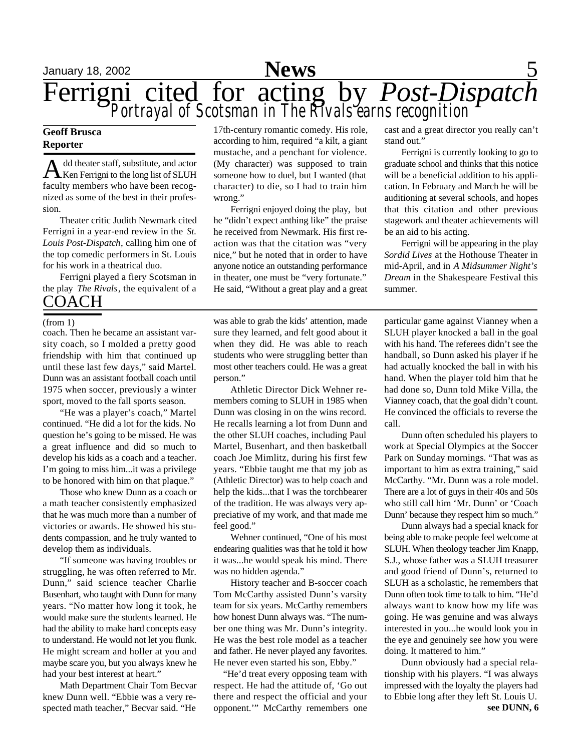

#### **Geoff Brusca Reporter**

A dd theater staff, substitute, and actor<br>Ken Ferrigni to the long list of SLUH dd theater staff, substitute, and actor faculty members who have been recognized as some of the best in their profession.

Theater critic Judith Newmark cited Ferrigni in a year-end review in the *St. Louis Post-Dispatch*, calling him one of the top comedic performers in St. Louis for his work in a theatrical duo.

Ferrigni played a fiery Scotsman in the play *The Rivals*, the equivalent of a COACH

#### (from 1)

coach. Then he became an assistant varsity coach, so I molded a pretty good friendship with him that continued up until these last few days," said Martel. Dunn was an assistant football coach until 1975 when soccer, previously a winter sport, moved to the fall sports season.

"He was a player's coach," Martel continued. "He did a lot for the kids. No question he's going to be missed. He was a great influence and did so much to develop his kids as a coach and a teacher. I'm going to miss him...it was a privilege to be honored with him on that plaque."

Those who knew Dunn as a coach or a math teacher consistently emphasized that he was much more than a number of victories or awards. He showed his students compassion, and he truly wanted to develop them as individuals.

"If someone was having troubles or struggling, he was often referred to Mr. Dunn," said science teacher Charlie Busenhart, who taught with Dunn for many years. "No matter how long it took, he would make sure the students learned. He had the ability to make hard concepts easy to understand. He would not let you flunk. He might scream and holler at you and maybe scare you, but you always knew he had your best interest at heart."

Math Department Chair Tom Becvar knew Dunn well. "Ebbie was a very respected math teacher," Becvar said. "He

17th-century romantic comedy. His role, according to him, required "a kilt, a giant mustache, and a penchant for violence. (My character) was supposed to train someone how to duel, but I wanted (that character) to die, so I had to train him wrong."

Ferrigni enjoyed doing the play, but he "didn't expect anthing like" the praise he received from Newmark. His first reaction was that the citation was "very nice," but he noted that in order to have anyone notice an outstanding performance in theater, one must be "very fortunate." He said, "Without a great play and a great

was able to grab the kids' attention, made sure they learned, and felt good about it when they did. He was able to reach students who were struggling better than most other teachers could. He was a great person."

Athletic Director Dick Wehner remembers coming to SLUH in 1985 when Dunn was closing in on the wins record. He recalls learning a lot from Dunn and the other SLUH coaches, including Paul Martel, Busenhart, and then basketball coach Joe Mimlitz, during his first few years. "Ebbie taught me that my job as (Athletic Director) was to help coach and help the kids...that I was the torchbearer of the tradition. He was always very appreciative of my work, and that made me feel good."

Wehner continued, "One of his most endearing qualities was that he told it how it was...he would speak his mind. There was no hidden agenda."

History teacher and B-soccer coach Tom McCarthy assisted Dunn's varsity team for six years. McCarthy remembers how honest Dunn always was. "The number one thing was Mr. Dunn's integrity. He was the best role model as a teacher and father. He never played any favorites. He never even started his son, Ebby."

 "He'd treat every opposing team with respect. He had the attitude of, 'Go out there and respect the official and your opponent.'" McCarthy remembers one cast and a great director you really can't stand out."

Ferrigni is currently looking to go to graduate school and thinks that this notice will be a beneficial addition to his application. In February and March he will be auditioning at several schools, and hopes that this citation and other previous stagework and theater achievements will be an aid to his acting.

Ferrigni will be appearing in the play *Sordid Lives* at the Hothouse Theater in mid-April, and in *A Midsummer Night's Dream* in the Shakespeare Festival this summer.

particular game against Vianney when a SLUH player knocked a ball in the goal with his hand. The referees didn't see the handball, so Dunn asked his player if he had actually knocked the ball in with his hand. When the player told him that he had done so, Dunn told Mike Villa, the Vianney coach, that the goal didn't count. He convinced the officials to reverse the call.

Dunn often scheduled his players to work at Special Olympics at the Soccer Park on Sunday mornings. "That was as important to him as extra training," said McCarthy. "Mr. Dunn was a role model. There are a lot of guys in their 40s and 50s who still call him 'Mr. Dunn' or 'Coach Dunn' because they respect him so much."

Dunn always had a special knack for being able to make people feel welcome at SLUH. When theology teacher Jim Knapp, S.J., whose father was a SLUH treasurer and good friend of Dunn's, returned to SLUH as a scholastic, he remembers that Dunn often took time to talk to him. "He'd always want to know how my life was going. He was genuine and was always interested in you...he would look you in the eye and genuinely see how you were doing. It mattered to him."

Dunn obviously had a special relationship with his players. "I was always impressed with the loyalty the players had to Ebbie long after they left St. Louis U.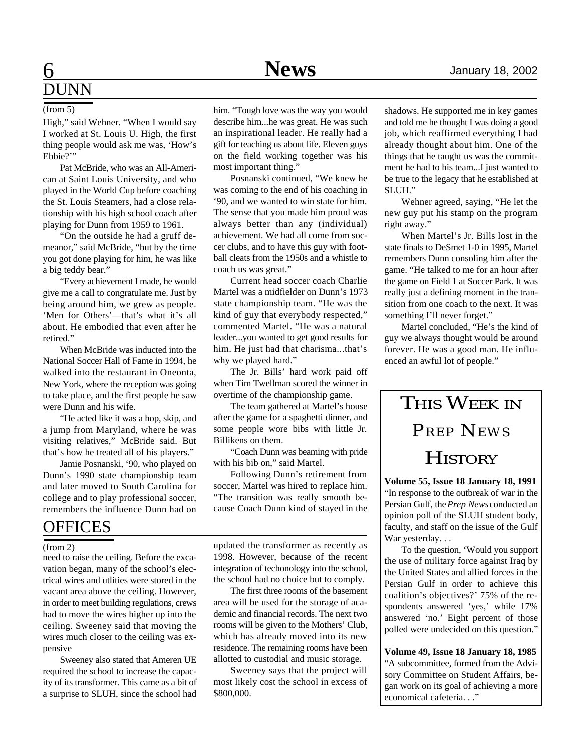### 6 **Sports** January 18, 2002 **DUNN**

#### (from 5)

High," said Wehner. "When I would say I worked at St. Louis U. High, the first thing people would ask me was, 'How's Ebbie?"

Pat McBride, who was an All-American at Saint Louis University, and who played in the World Cup before coaching the St. Louis Steamers, had a close relationship with his high school coach after playing for Dunn from 1959 to 1961.

"On the outside he had a gruff demeanor," said McBride, "but by the time you got done playing for him, he was like a big teddy bear."

"Every achievement I made, he would give me a call to congratulate me. Just by being around him, we grew as people. 'Men for Others'—that's what it's all about. He embodied that even after he retired."

When McBride was inducted into the National Soccer Hall of Fame in 1994, he walked into the restaurant in Oneonta, New York, where the reception was going to take place, and the first people he saw were Dunn and his wife.

"He acted like it was a hop, skip, and a jump from Maryland, where he was visiting relatives," McBride said. But that's how he treated all of his players."

Jamie Posnanski, '90, who played on Dunn's 1990 state championship team and later moved to South Carolina for college and to play professional soccer, remembers the influence Dunn had on

### **OFFICES**

#### (from 2)

need to raise the ceiling. Before the excavation began, many of the school's electrical wires and utlities were stored in the vacant area above the ceiling. However, in order to meet building regulations, crews had to move the wires higher up into the ceiling. Sweeney said that moving the wires much closer to the ceiling was expensive

Sweeney also stated that Ameren UE required the school to increase the capacity of its transformer. This came as a bit of a surprise to SLUH, since the school had him. "Tough love was the way you would describe him...he was great. He was such an inspirational leader. He really had a gift for teaching us about life. Eleven guys on the field working together was his most important thing."

Posnanski continued, "We knew he was coming to the end of his coaching in '90, and we wanted to win state for him. The sense that you made him proud was always better than any (individual) achievement. We had all come from soccer clubs, and to have this guy with football cleats from the 1950s and a whistle to coach us was great."

Current head soccer coach Charlie Martel was a midfielder on Dunn's 1973 state championship team. "He was the kind of guy that everybody respected," commented Martel. "He was a natural leader...you wanted to get good results for him. He just had that charisma...that's why we played hard."

The Jr. Bills' hard work paid off when Tim Twellman scored the winner in overtime of the championship game.

The team gathered at Martel's house after the game for a spaghetti dinner, and some people wore bibs with little Jr. Billikens on them.

"Coach Dunn was beaming with pride with his bib on," said Martel.

Following Dunn's retirement from soccer, Martel was hired to replace him. "The transition was really smooth because Coach Dunn kind of stayed in the

updated the transformer as recently as 1998. However, because of the recent integration of techonology into the school, the school had no choice but to comply.

The first three rooms of the basement area will be used for the storage of academic and financial records. The next two rooms will be given to the Mothers' Club, which has already moved into its new residence. The remaining rooms have been allotted to custodial and music storage.

Sweeney says that the project will most likely cost the school in excess of \$800,000.

shadows. He supported me in key games and told me he thought I was doing a good job, which reaffirmed everything I had already thought about him. One of the things that he taught us was the commitment he had to his team...I just wanted to be true to the legacy that he established at SLUH."

Wehner agreed, saying, "He let the new guy put his stamp on the program right away."

When Martel's Jr. Bills lost in the state finals to DeSmet 1-0 in 1995, Martel remembers Dunn consoling him after the game. "He talked to me for an hour after the game on Field 1 at Soccer Park. It was really just a defining moment in the transition from one coach to the next. It was something I'll never forget."

Martel concluded, "He's the kind of guy we always thought would be around forever. He was a good man. He influenced an awful lot of people."



**Volume 55, Issue 18 January 18, 1991** "In response to the outbreak of war in the Persian Gulf, the *Prep News* conducted an opinion poll of the SLUH student body, faculty, and staff on the issue of the Gulf War yesterday...

To the question, 'Would you support the use of military force against Iraq by the United States and allied forces in the Persian Gulf in order to achieve this coalition's objectives?' 75% of the respondents answered 'yes,' while 17% answered 'no.' Eight percent of those polled were undecided on this question."

**Volume 49, Issue 18 January 18, 1985** "A subcommittee, formed from the Advisory Committee on Student Affairs, began work on its goal of achieving a more economical cafeteria. . ."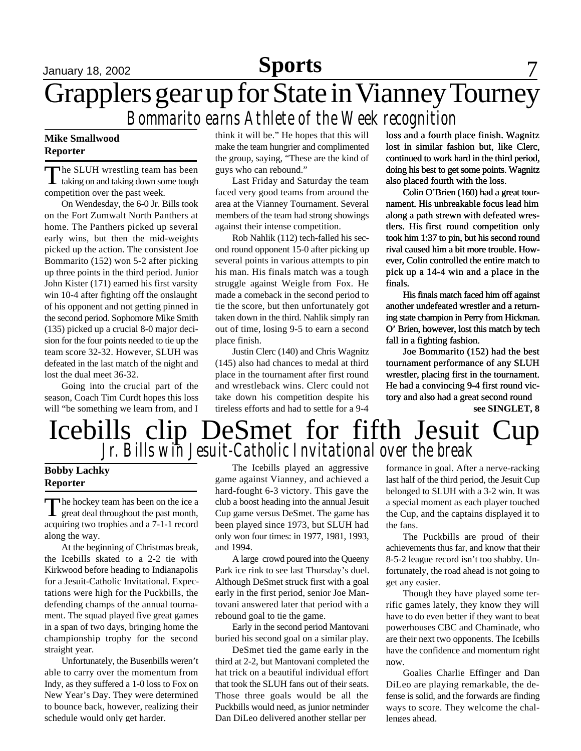### January 18, 2002 **Sports** 7 Grapplers gear up for State in Vianney Tourney *Bommarito earns Athlete of the Week recognition*

#### **Mike Smallwood Reporter**

T he SLUH wrestling team has been taking on and taking down some tough competition over the past week.

On Wendesday, the 6-0 Jr. Bills took on the Fort Zumwalt North Panthers at home. The Panthers picked up several early wins, but then the mid-weights picked up the action. The consistent Joe Bommarito (152) won 5-2 after picking up three points in the third period. Junior John Kister (171) earned his first varsity win 10-4 after fighting off the onslaught of his opponent and not getting pinned in the second period. Sophomore Mike Smith (135) picked up a crucial 8-0 major decision for the four points needed to tie up the team score 32-32. However, SLUH was defeated in the last match of the night and lost the dual meet 36-32.

Going into the crucial part of the season, Coach Tim Curdt hopes this loss will "be something we learn from, and I think it will be." He hopes that this will make the team hungrier and complimented the group, saying, "These are the kind of guys who can rebound."

Last Friday and Saturday the team faced very good teams from around the area at the Vianney Tournament. Several members of the team had strong showings against their intense competition.

Rob Nahlik (112) tech-falled his second round opponent 15-0 after picking up several points in various attempts to pin his man. His finals match was a tough struggle against Weigle from Fox. He made a comeback in the second period to tie the score, but then unfortunately got taken down in the third. Nahlik simply ran out of time, losing 9-5 to earn a second place finish.

Justin Clerc (140) and Chris Wagnitz (145) also had chances to medal at third place in the tournament after first round and wrestleback wins. Clerc could not take down his competition despite his tireless efforts and had to settle for a 9-4 loss and a fourth place finish. Wagnitz lost in similar fashion but, like Clerc, continued to work hard in the third period, doing his best to get some points. Wagnitz also placed fourth with the loss.

Colin O'Brien (160) had a great tournament. His unbreakable focus lead him along a path strewn with defeated wrestlers. His first round competition only took him 1:37 to pin, but his second round rival caused him a bit more trouble. However, Colin controlled the entire match to pick up a 14-4 win and a place in the finals.

His finals match faced him off against another undefeated wrestler and a returning state champion in Perry from Hickman. O' Brien, however, lost this match by tech fall in a fighting fashion.

Joe Bommarito (152) had the best tournament performance of any SLUH wrestler, placing first in the tournament. He had a convincing 9-4 first round victory and also had a great second round

**see SINGLET, 8**

### *Jr. Bills win Jesuit-Catholic Invitational over the break* Icebills clip DeSmet for fifth Jesuit Cup

#### **Bobby Lachky Reporter**

The hockey team has been on the ice a<br>great deal throughout the past month, The hockey team has been on the ice a acquiring two trophies and a 7-1-1 record along the way.

At the beginning of Christmas break, the Icebills skated to a 2-2 tie with Kirkwood before heading to Indianapolis for a Jesuit-Catholic Invitational. Expectations were high for the Puckbills, the defending champs of the annual tournament. The squad played five great games in a span of two days, bringing home the championship trophy for the second straight year.

Unfortunately, the Busenbills weren't able to carry over the momentum from Indy, as they suffered a 1-0 loss to Fox on New Year's Day. They were determined to bounce back, however, realizing their schedule would only get harder.

The Icebills played an aggressive game against Vianney, and achieved a hard-fought 6-3 victory. This gave the club a boost heading into the annual Jesuit Cup game versus DeSmet. The game has been played since 1973, but SLUH had only won four times: in 1977, 1981, 1993, and 1994.

A large crowd poured into the Queeny Park ice rink to see last Thursday's duel. Although DeSmet struck first with a goal early in the first period, senior Joe Mantovani answered later that period with a rebound goal to tie the game.

Early in the second period Mantovani buried his second goal on a similar play.

DeSmet tied the game early in the third at 2-2, but Mantovani completed the hat trick on a beautiful individual effort that took the SLUH fans out of their seats. Those three goals would be all the Puckbills would need, as junior netminder Dan DiLeo delivered another stellar per

formance in goal. After a nerve-racking last half of the third period, the Jesuit Cup belonged to SLUH with a 3-2 win. It was a special moment as each player touched the Cup, and the captains displayed it to the fans.

The Puckbills are proud of their achievements thus far, and know that their 8-5-2 league record isn't too shabby. Unfortunately, the road ahead is not going to get any easier.

Though they have played some terrific games lately, they know they will have to do even better if they want to beat powerhouses CBC and Chaminade, who are their next two opponents. The Icebills have the confidence and momentum right now.

Goalies Charlie Effinger and Dan DiLeo are playing remarkable, the defense is solid, and the forwards are finding ways to score. They welcome the challenges ahead.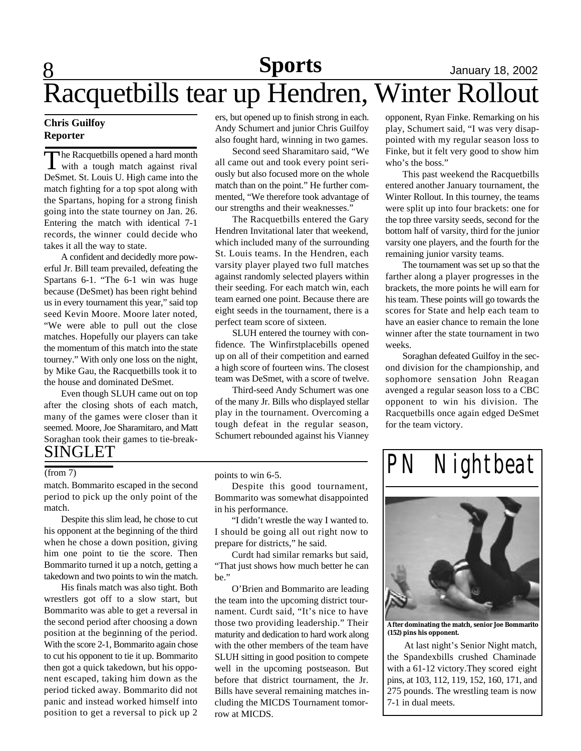## 8 **Sports** January 18, 2002 Racquetbills tear up Hendren, Winter Rollout

#### **Chris Guilfoy Reporter**

The Racquetbills opened a hard month<br>with a tough match against rival The Racquetbills opened a hard month DeSmet. St. Louis U. High came into the match fighting for a top spot along with the Spartans, hoping for a strong finish going into the state tourney on Jan. 26. Entering the match with identical 7-1 records, the winner could decide who takes it all the way to state.

A confident and decidedly more powerful Jr. Bill team prevailed, defeating the Spartans 6-1. "The 6-1 win was huge because (DeSmet) has been right behind us in every tournament this year," said top seed Kevin Moore. Moore later noted, "We were able to pull out the close matches. Hopefully our players can take the momentum of this match into the state tourney." With only one loss on the night, by Mike Gau, the Racquetbills took it to the house and dominated DeSmet.

Even though SLUH came out on top after the closing shots of each match, many of the games were closer than it seemed. Moore, Joe Sharamitaro, and Matt Soraghan took their games to tie-break-SINGLET

match. Bommarito escaped in the second period to pick up the only point of the match.

Despite this slim lead, he chose to cut his opponent at the beginning of the third when he chose a down position, giving him one point to tie the score. Then Bommarito turned it up a notch, getting a takedown and two points to win the match.

His finals match was also tight. Both wrestlers got off to a slow start, but Bommarito was able to get a reversal in the second period after choosing a down position at the beginning of the period. With the score 2-1, Bommarito again chose to cut his opponent to tie it up. Bommarito then got a quick takedown, but his opponent escaped, taking him down as the period ticked away. Bommarito did not panic and instead worked himself into position to get a reversal to pick up 2

ers, but opened up to finish strong in each. Andy Schumert and junior Chris Guilfoy also fought hard, winning in two games.

Second seed Sharamitaro said, "We all came out and took every point seriously but also focused more on the whole match than on the point." He further commented, "We therefore took advantage of our strengths and their weaknesses."

The Racquetbills entered the Gary Hendren Invitational later that weekend, which included many of the surrounding St. Louis teams. In the Hendren, each varsity player played two full matches against randomly selected players within their seeding. For each match win, each team earned one point. Because there are eight seeds in the tournament, there is a perfect team score of sixteen.

SLUH entered the tourney with confidence. The Winfirstplacebills opened up on all of their competition and earned a high score of fourteen wins. The closest team was DeSmet, with a score of twelve.

Third-seed Andy Schumert was one of the many Jr. Bills who displayed stellar play in the tournament. Overcoming a tough defeat in the regular season, Schumert rebounded against his Vianney

opponent, Ryan Finke. Remarking on his play, Schumert said, "I was very disappointed with my regular season loss to Finke, but it felt very good to show him who's the boss."

This past weekend the Racquetbills entered another January tournament, the Winter Rollout. In this tourney, the teams were split up into four brackets: one for the top three varsity seeds, second for the bottom half of varsity, third for the junior varsity one players, and the fourth for the remaining junior varsity teams.

The tournament was set up so that the farther along a player progresses in the brackets, the more points he will earn for his team. These points will go towards the scores for State and help each team to have an easier chance to remain the lone winner after the state tournament in two weeks.

Soraghan defeated Guilfoy in the second division for the championship, and sophomore sensation John Reagan avenged a regular season loss to a CBC opponent to win his division. The Racquetbills once again edged DeSmet for the team victory.

 $\frac{1}{P}$  *PN Nightbeat* 



**After dominating the match, senior Joe Bommarito (152) pins his opponent.**

At last night's Senior Night match, the Spandexbills crushed Chaminade with a 61-12 victory.They scored eight pins, at 103, 112, 119, 152, 160, 171, and 275 pounds. The wrestling team is now 7-1 in dual meets.

points to win 6-5.

Despite this good tournament, Bommarito was somewhat disappointed in his performance.

"I didn't wrestle the way I wanted to. I should be going all out right now to prepare for districts," he said.

Curdt had similar remarks but said, "That just shows how much better he can be."

O'Brien and Bommarito are leading the team into the upcoming district tournament. Curdt said, "It's nice to have those two providing leadership." Their maturity and dedication to hard work along with the other members of the team have SLUH sitting in good position to compete well in the upcoming postseason. But before that district tournament, the Jr. Bills have several remaining matches including the MICDS Tournament tomorrow at MICDS.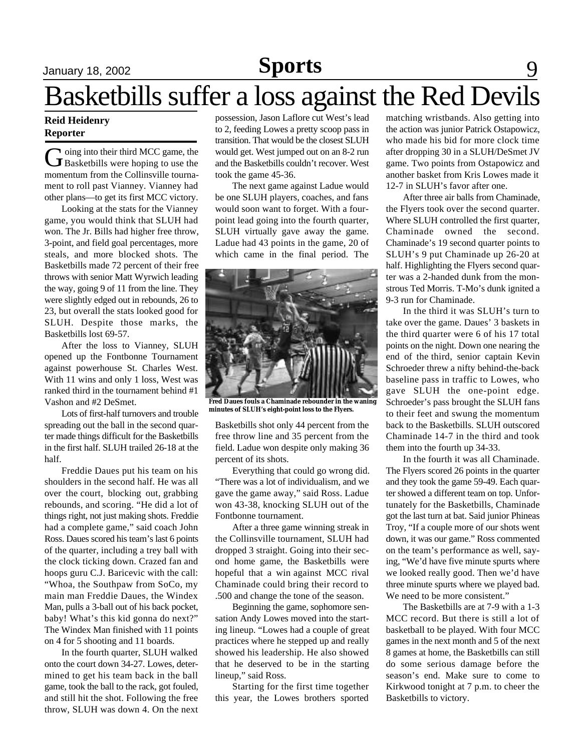### January 18, 2002 **Sports** 9

## Basketbills suffer a loss against the Red Devils

#### **Reid Heidenry Reporter**

G oing into their third MCC game, the<br>Basketbills were hoping to use the oing into their third MCC game, the momentum from the Collinsville tournament to roll past Vianney. Vianney had other plans—to get its first MCC victory.

Looking at the stats for the Vianney game, you would think that SLUH had won. The Jr. Bills had higher free throw, 3-point, and field goal percentages, more steals, and more blocked shots. The Basketbills made 72 percent of their free throws with senior Matt Wyrwich leading the way, going 9 of 11 from the line. They were slightly edged out in rebounds, 26 to 23, but overall the stats looked good for SLUH. Despite those marks, the Basketbills lost 69-57.

After the loss to Vianney, SLUH opened up the Fontbonne Tournament against powerhouse St. Charles West. With 11 wins and only 1 loss, West was ranked third in the tournament behind #1 Vashon and #2 DeSmet.

Lots of first-half turnovers and trouble spreading out the ball in the second quarter made things difficult for the Basketbills in the first half. SLUH trailed 26-18 at the half.

Freddie Daues put his team on his shoulders in the second half. He was all over the court, blocking out, grabbing rebounds, and scoring. "He did a lot of things right, not just making shots. Freddie had a complete game," said coach John Ross. Daues scored his team's last 6 points of the quarter, including a trey ball with the clock ticking down. Crazed fan and hoops guru C.J. Baricevic with the call: "Whoa, the Southpaw from SoCo, my main man Freddie Daues, the Windex Man, pulls a 3-ball out of his back pocket, baby! What's this kid gonna do next?" The Windex Man finished with 11 points on 4 for 5 shooting and 11 boards.

In the fourth quarter, SLUH walked onto the court down 34-27. Lowes, determined to get his team back in the ball game, took the ball to the rack, got fouled, and still hit the shot. Following the free throw, SLUH was down 4. On the next possession, Jason Laflore cut West's lead to 2, feeding Lowes a pretty scoop pass in transition. That would be the closest SLUH would get. West jumped out on an 8-2 run and the Basketbills couldn't recover. West took the game 45-36.

The next game against Ladue would be one SLUH players, coaches, and fans would soon want to forget. With a fourpoint lead going into the fourth quarter, SLUH virtually gave away the game. Ladue had 43 points in the game, 20 of which came in the final period. The



**Fred Daues fouls a Chaminade rebounder in the waning minutes of SLUH's eight-point loss to the Flyers.**

Basketbills shot only 44 percent from the free throw line and 35 percent from the field. Ladue won despite only making 36 percent of its shots.

Everything that could go wrong did. "There was a lot of individualism, and we gave the game away," said Ross. Ladue won 43-38, knocking SLUH out of the Fontbonne tournament.

After a three game winning streak in the Collinsville tournament, SLUH had dropped 3 straight. Going into their second home game, the Basketbills were hopeful that a win against MCC rival Chaminade could bring their record to .500 and change the tone of the season.

Beginning the game, sophomore sensation Andy Lowes moved into the starting lineup. "Lowes had a couple of great practices where he stepped up and really showed his leadership. He also showed that he deserved to be in the starting lineup," said Ross.

Starting for the first time together this year, the Lowes brothers sported

matching wristbands. Also getting into the action was junior Patrick Ostapowicz, who made his bid for more clock time after dropping 30 in a SLUH/DeSmet JV game. Two points from Ostapowicz and another basket from Kris Lowes made it 12-7 in SLUH's favor after one.

After three air balls from Chaminade, the Flyers took over the second quarter. Where SLUH controlled the first quarter, Chaminade owned the second. Chaminade's 19 second quarter points to SLUH's 9 put Chaminade up 26-20 at half. Highlighting the Flyers second quarter was a 2-handed dunk from the monstrous Ted Morris. T-Mo's dunk ignited a 9-3 run for Chaminade.

In the third it was SLUH's turn to take over the game. Daues' 3 baskets in the third quarter were 6 of his 17 total points on the night. Down one nearing the end of the third, senior captain Kevin Schroeder threw a nifty behind-the-back baseline pass in traffic to Lowes, who gave SLUH the one-point edge. Schroeder's pass brought the SLUH fans to their feet and swung the momentum back to the Basketbills. SLUH outscored Chaminade 14-7 in the third and took them into the fourth up 34-33.

In the fourth it was all Chaminade. The Flyers scored 26 points in the quarter and they took the game 59-49. Each quarter showed a different team on top. Unfortunately for the Basketbills, Chaminade got the last turn at bat. Said junior Phineas Troy, "If a couple more of our shots went down, it was our game." Ross commented on the team's performance as well, saying, "We'd have five minute spurts where we looked really good. Then we'd have three minute spurts where we played bad. We need to be more consistent."

The Basketbills are at 7-9 with a 1-3 MCC record. But there is still a lot of basketball to be played. With four MCC games in the next month and 5 of the next 8 games at home, the Basketbills can still do some serious damage before the season's end. Make sure to come to Kirkwood tonight at 7 p.m. to cheer the Basketbills to victory.